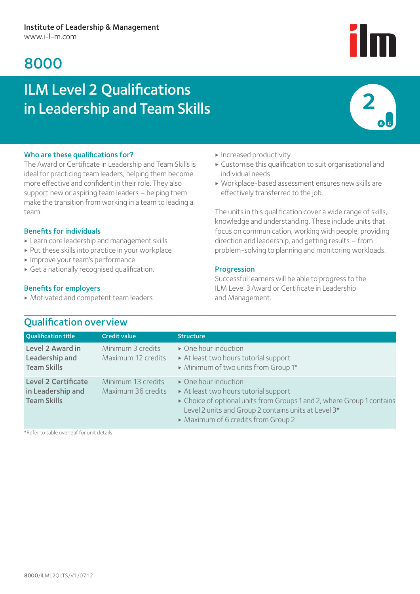# 8000

# ILM Level 2 Qualifications in Leadership and Team Skills



## Who are these qualifications for?

The Award or Certificate in Leadership and Team Skills is ideal for practicing team leaders, helping them become more effective and confident in their role. They also support new or aspiring team leaders – helping them make the transition from working in a team to leading a team.

## Benefits for individuals

- ▶ Learn core leadership and management skills
- ▶ Put these skills into practice in your workplace
- ▶ Improve your team's performance
- ▶ Get a nationally recognised qualification.

## Benefits for employers

▶ Motivated and competent team leaders

- ▶ Increased productivity
- ▶ Customise this qualification to suit organisational and individual needs
- ▶ Workplace-based assessment ensures new skills are effectively transferred to the job.

The units in this qualification cover a wide range of skills, knowledge and understanding. These include units that focus on communication, working with people, providing direction and leadership, and getting results – from problem-solving to planning and monitoring workloads.

## Progression

Successful learners will be able to progress to the ILM Level 3 Award or Certificate in Leadership and Management.

| <b>Qualification title</b>                                            | <b>Credit value</b>                      | <b>Structure</b>                                                                                                                                                                                                                                    |
|-----------------------------------------------------------------------|------------------------------------------|-----------------------------------------------------------------------------------------------------------------------------------------------------------------------------------------------------------------------------------------------------|
| Level 2 Award in<br>Leadership and<br><b>Team Skills</b>              | Minimum 3 credits<br>Maximum 12 credits  | • One hour induction<br>At least two hours tutorial support<br>Minimum of two units from Group 1*                                                                                                                                                   |
| <b>Level 2 Certificate</b><br>in Leadership and<br><b>Team Skills</b> | Minimum 13 credits<br>Maximum 36 credits | $\triangleright$ One hour induction<br>At least two hours tutorial support<br>• Choice of optional units from Groups 1 and 2, where Group 1 contains<br>Level 2 units and Group 2 contains units at Level 3*<br>• Maximum of 6 credits from Group 2 |

\*Refer to table overleaf for unit details

# Qualification overview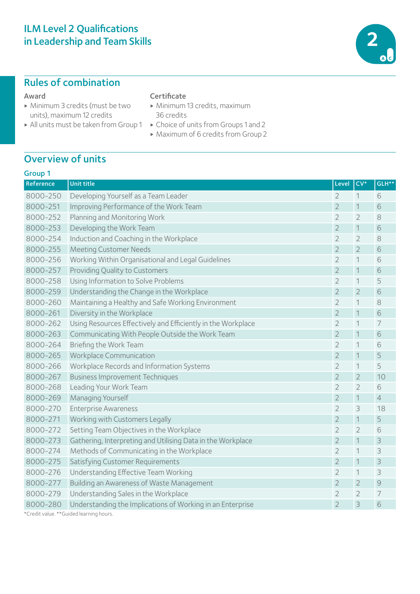# ILM Level 2 Qualifications in Leadership and Team Skills

# Rules of combination

#### Award

- ▶ Minimum 3 credits (must be two units), maximum 12 credits
- 

## **Certificate**

- ▶ Minimum 13 credits, maximum 36 credits
- ▶ All units must be taken from Group 1 ▶ Choice of units from Groups 1 and 2
	- ▶ Maximum of 6 credits from Group 2

# Overview of units

# Group 1

| Reference | <b>Unit title</b>                                            | Level          | $CV*$          | GLH**          |
|-----------|--------------------------------------------------------------|----------------|----------------|----------------|
| 8000-250  | Developing Yourself as a Team Leader                         |                | 1              | 6              |
| 8000-251  | $\overline{2}$<br>Improving Performance of the Work Team     |                | $\mathbf 1$    | 6              |
| 8000-252  | Planning and Monitoring Work                                 | 2              | $\overline{2}$ | 8              |
| 8000-253  | Developing the Work Team<br>$\overline{2}$                   |                | $\mathbf 1$    | 6              |
| 8000-254  | Induction and Coaching in the Workplace                      | $\overline{2}$ | $\overline{2}$ | 8              |
| 8000-255  | <b>Meeting Customer Needs</b>                                | $\overline{2}$ | $\overline{2}$ | $\sqrt{6}$     |
| 8000-256  | Working Within Organisational and Legal Guidelines           | $\overline{2}$ | $\mathbf 1$    | 6              |
| 8000-257  | Providing Quality to Customers                               | $\overline{2}$ | $\mathbf 1$    | 6              |
| 8000-258  | Using Information to Solve Problems                          | $\overline{2}$ | $\mathbf 1$    | 5              |
| 8000-259  | Understanding the Change in the Workplace                    | $\overline{2}$ | $\overline{2}$ | $\sqrt{6}$     |
| 8000-260  | Maintaining a Healthy and Safe Working Environment           | 2              | $\mathbf 1$    | 8              |
| 8000-261  | Diversity in the Workplace                                   | $\overline{2}$ | $\mathbf 1$    | $\sqrt{6}$     |
| 8000-262  | Using Resources Effectively and Efficiently in the Workplace | $\overline{2}$ | $\mathbf 1$    | $\overline{7}$ |
| 8000-263  | Communicating With People Outside the Work Team              | 2              | $\mathbf 1$    | $\sqrt{6}$     |
| 8000-264  | Briefing the Work Team                                       | $\overline{2}$ | $\mathbf 1$    | 6              |
| 8000-265  | Workplace Communication                                      | $\overline{2}$ | $\mathbf 1$    | 5              |
| 8000-266  | Workplace Records and Information Systems                    | $\overline{2}$ | 1              | 5              |
| 8000-267  | <b>Business Improvement Techniques</b>                       | $\overline{2}$ | $\overline{2}$ | 10             |
| 8000-268  | Leading Your Work Team                                       | 2              | $\overline{2}$ | 6              |
| 8000-269  | Managing Yourself                                            | $\overline{2}$ | $\mathbf 1$    | $\overline{4}$ |
| 8000-270  | <b>Enterprise Awareness</b>                                  | $\overline{2}$ | 3              | 18             |
| 8000-271  | Working with Customers Legally                               | $\overline{2}$ | $\mathbf 1$    | 5              |
| 8000-272  | Setting Team Objectives in the Workplace                     | $\overline{2}$ | $\overline{2}$ | 6              |
| 8000-273  | Gathering, Interpreting and Utilising Data in the Workplace  | $\overline{2}$ | $\mathbf 1$    | $\mathcal{S}$  |
| 8000-274  | Methods of Communicating in the Workplace                    | $\overline{2}$ | $\mathbf 1$    | 3              |
| 8000-275  | Satisfying Customer Requirements                             | $\overline{2}$ | $\mathbf 1$    | $\Im$          |
| 8000-276  | Understanding Effective Team Working                         | 2              | 1              | 3              |
| 8000-277  | Building an Awareness of Waste Management                    | $\overline{2}$ | $\overline{2}$ | $\mathcal{Q}$  |
| 8000-279  | Understanding Sales in the Workplace                         | $\overline{2}$ | $\overline{2}$ | 7              |
| 8000-280  | Understanding the Implications of Working in an Enterprise   | $\overline{2}$ | 3              | 6              |

\*Credit value. \*\*Guided learning hours.

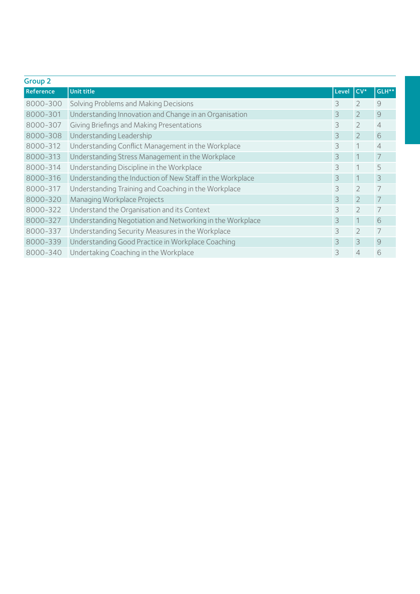| <b>Group 2</b> |                                                           |       |                |                |  |  |
|----------------|-----------------------------------------------------------|-------|----------------|----------------|--|--|
| Reference      | <b>Unit title</b>                                         | Level | $CV^*$         | GLH**          |  |  |
| 8000-300       | Solving Problems and Making Decisions                     | 3     | $\mathfrak{D}$ | 9              |  |  |
| 8000-301       | Understanding Innovation and Change in an Organisation    | 3     | $\overline{2}$ | 9              |  |  |
| 8000-307       | Giving Briefings and Making Presentations                 | 3     | $\mathcal{D}$  | $\overline{4}$ |  |  |
| 8000-308       | Understanding Leadership                                  | 3     | $\overline{2}$ | 6              |  |  |
| 8000-312       | Understanding Conflict Management in the Workplace        | 3     |                | $\overline{4}$ |  |  |
| 8000-313       | Understanding Stress Management in the Workplace          | 3     |                | 7              |  |  |
| 8000-314       | Understanding Discipline in the Workplace                 | 3     |                | 5              |  |  |
| 8000-316       | Understanding the Induction of New Staff in the Workplace | 3     |                | 3              |  |  |
| 8000-317       | Understanding Training and Coaching in the Workplace      | 3     | $\mathfrak{D}$ | 7              |  |  |
| 8000-320       | Managing Workplace Projects                               | 3     | $\mathfrak{D}$ | 7              |  |  |
| 8000-322       | Understand the Organisation and its Context               | 3     | $\overline{2}$ | 7              |  |  |
| 8000-327       | Understanding Negotiation and Networking in the Workplace | 3     |                | 6              |  |  |
| 8000-337       | Understanding Security Measures in the Workplace          | 3     | $\mathcal{P}$  | 7              |  |  |
| 8000-339       | Understanding Good Practice in Workplace Coaching         | 3     | 3              | 9              |  |  |
| 8000-340       | Undertaking Coaching in the Workplace                     | 3     | $\overline{4}$ | 6              |  |  |